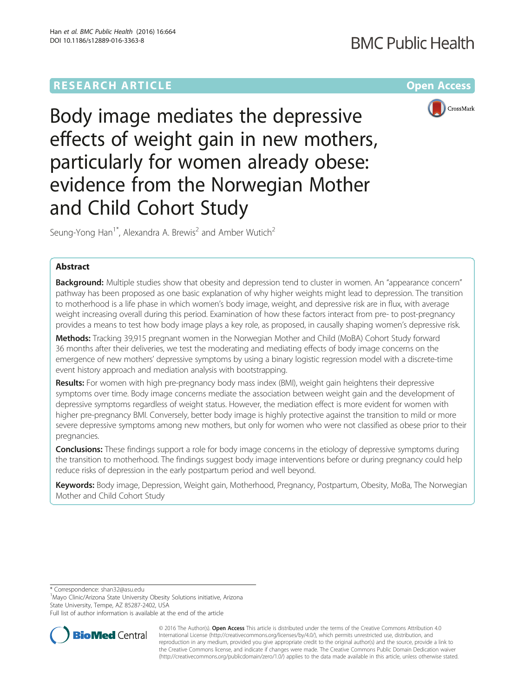# **RESEARCH ARTICLE Example 2014 12:30 The Company Access** (RESEARCH ARTICLE

# **BMC Public Health**



Body image mediates the depressive effects of weight gain in new mothers, particularly for women already obese: evidence from the Norwegian Mother and Child Cohort Study

Seung-Yong Han<sup>1\*</sup>, Alexandra A. Brewis<sup>2</sup> and Amber Wutich<sup>2</sup>

# Abstract

Background: Multiple studies show that obesity and depression tend to cluster in women. An "appearance concern" pathway has been proposed as one basic explanation of why higher weights might lead to depression. The transition to motherhood is a life phase in which women's body image, weight, and depressive risk are in flux, with average weight increasing overall during this period. Examination of how these factors interact from pre- to post-pregnancy provides a means to test how body image plays a key role, as proposed, in causally shaping women's depressive risk.

Methods: Tracking 39,915 pregnant women in the Norwegian Mother and Child (MoBA) Cohort Study forward 36 months after their deliveries, we test the moderating and mediating effects of body image concerns on the emergence of new mothers' depressive symptoms by using a binary logistic regression model with a discrete-time event history approach and mediation analysis with bootstrapping.

Results: For women with high pre-pregnancy body mass index (BMI), weight gain heightens their depressive symptoms over time. Body image concerns mediate the association between weight gain and the development of depressive symptoms regardless of weight status. However, the mediation effect is more evident for women with higher pre-pregnancy BMI. Conversely, better body image is highly protective against the transition to mild or more severe depressive symptoms among new mothers, but only for women who were not classified as obese prior to their pregnancies.

**Conclusions:** These findings support a role for body image concerns in the etiology of depressive symptoms during the transition to motherhood. The findings suggest body image interventions before or during pregnancy could help reduce risks of depression in the early postpartum period and well beyond.

Keywords: Body image, Depression, Weight gain, Motherhood, Pregnancy, Postpartum, Obesity, MoBa, The Norwegian Mother and Child Cohort Study

\* Correspondence: [shan32@asu.edu](mailto:shan32@asu.edu) <sup>1</sup>

<sup>1</sup>Mayo Clinic/Arizona State University Obesity Solutions initiative, Arizona State University, Tempe, AZ 85287-2402, USA

Full list of author information is available at the end of the article



© 2016 The Author(s). Open Access This article is distributed under the terms of the Creative Commons Attribution 4.0 International License [\(http://creativecommons.org/licenses/by/4.0/](http://creativecommons.org/licenses/by/4.0/)), which permits unrestricted use, distribution, and reproduction in any medium, provided you give appropriate credit to the original author(s) and the source, provide a link to the Creative Commons license, and indicate if changes were made. The Creative Commons Public Domain Dedication waiver [\(http://creativecommons.org/publicdomain/zero/1.0/](http://creativecommons.org/publicdomain/zero/1.0/)) applies to the data made available in this article, unless otherwise stated.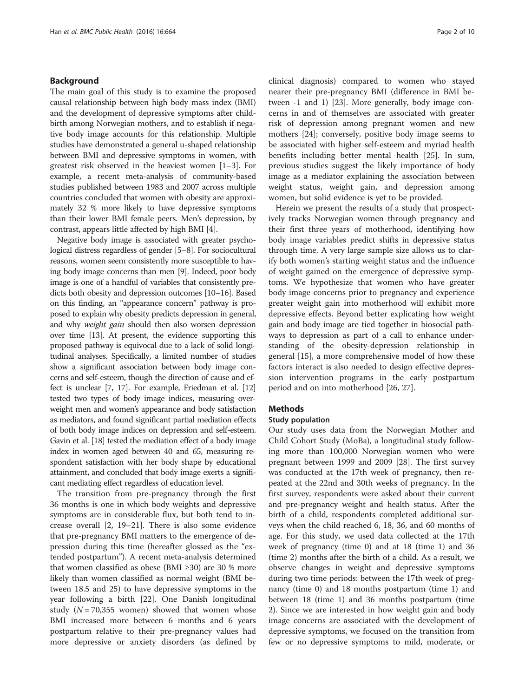# Background

The main goal of this study is to examine the proposed causal relationship between high body mass index (BMI) and the development of depressive symptoms after childbirth among Norwegian mothers, and to establish if negative body image accounts for this relationship. Multiple studies have demonstrated a general u-shaped relationship between BMI and depressive symptoms in women, with greatest risk observed in the heaviest women [\[1](#page-9-0)–[3](#page-9-0)]. For example, a recent meta-analysis of community-based studies published between 1983 and 2007 across multiple countries concluded that women with obesity are approximately 32 % more likely to have depressive symptoms than their lower BMI female peers. Men's depression, by contrast, appears little affected by high BMI [\[4](#page-9-0)].

Negative body image is associated with greater psychological distress regardless of gender [\[5](#page-9-0)–[8](#page-9-0)]. For sociocultural reasons, women seem consistently more susceptible to having body image concerns than men [\[9](#page-9-0)]. Indeed, poor body image is one of a handful of variables that consistently predicts both obesity and depression outcomes [\[10](#page-9-0)–[16\]](#page-9-0). Based on this finding, an "appearance concern" pathway is proposed to explain why obesity predicts depression in general, and why *weight gain* should then also worsen depression over time [\[13](#page-9-0)]. At present, the evidence supporting this proposed pathway is equivocal due to a lack of solid longitudinal analyses. Specifically, a limited number of studies show a significant association between body image concerns and self-esteem, though the direction of cause and effect is unclear [\[7, 17](#page-9-0)]. For example, Friedman et al. [\[12](#page-9-0)] tested two types of body image indices, measuring overweight men and women's appearance and body satisfaction as mediators, and found significant partial mediation effects of both body image indices on depression and self-esteem. Gavin et al. [[18\]](#page-9-0) tested the mediation effect of a body image index in women aged between 40 and 65, measuring respondent satisfaction with her body shape by educational attainment, and concluded that body image exerts a significant mediating effect regardless of education level.

The transition from pre-pregnancy through the first 36 months is one in which body weights and depressive symptoms are in considerable flux, but both tend to increase overall [\[2](#page-9-0), [19](#page-9-0)–[21\]](#page-9-0). There is also some evidence that pre-pregnancy BMI matters to the emergence of depression during this time (hereafter glossed as the "extended postpartum"). A recent meta-analysis determined that women classified as obese (BMI  $\geq$ 30) are 30 % more likely than women classified as normal weight (BMI between 18.5 and 25) to have depressive symptoms in the year following a birth [\[22](#page-9-0)]. One Danish longitudinal study ( $N = 70,355$  women) showed that women whose BMI increased more between 6 months and 6 years postpartum relative to their pre-pregnancy values had more depressive or anxiety disorders (as defined by clinical diagnosis) compared to women who stayed nearer their pre-pregnancy BMI (difference in BMI between -1 and 1) [[23\]](#page-9-0). More generally, body image concerns in and of themselves are associated with greater risk of depression among pregnant women and new mothers [[24](#page-9-0)]; conversely, positive body image seems to be associated with higher self-esteem and myriad health benefits including better mental health [[25\]](#page-9-0). In sum, previous studies suggest the likely importance of body image as a mediator explaining the association between weight status, weight gain, and depression among women, but solid evidence is yet to be provided.

Herein we present the results of a study that prospectively tracks Norwegian women through pregnancy and their first three years of motherhood, identifying how body image variables predict shifts in depressive status through time. A very large sample size allows us to clarify both women's starting weight status and the influence of weight gained on the emergence of depressive symptoms. We hypothesize that women who have greater body image concerns prior to pregnancy and experience greater weight gain into motherhood will exhibit more depressive effects. Beyond better explicating how weight gain and body image are tied together in biosocial pathways to depression as part of a call to enhance understanding of the obesity-depression relationship in general [[15\]](#page-9-0), a more comprehensive model of how these factors interact is also needed to design effective depression intervention programs in the early postpartum period and on into motherhood [\[26](#page-9-0), [27\]](#page-9-0).

# Methods

#### Study population

Our study uses data from the Norwegian Mother and Child Cohort Study (MoBa), a longitudinal study following more than 100,000 Norwegian women who were pregnant between 1999 and 2009 [[28](#page-9-0)]. The first survey was conducted at the 17th week of pregnancy, then repeated at the 22nd and 30th weeks of pregnancy. In the first survey, respondents were asked about their current and pre-pregnancy weight and health status. After the birth of a child, respondents completed additional surveys when the child reached 6, 18, 36, and 60 months of age. For this study, we used data collected at the 17th week of pregnancy (time 0) and at 18 (time 1) and 36 (time 2) months after the birth of a child. As a result, we observe changes in weight and depressive symptoms during two time periods: between the 17th week of pregnancy (time 0) and 18 months postpartum (time 1) and between 18 (time 1) and 36 months postpartum (time 2). Since we are interested in how weight gain and body image concerns are associated with the development of depressive symptoms, we focused on the transition from few or no depressive symptoms to mild, moderate, or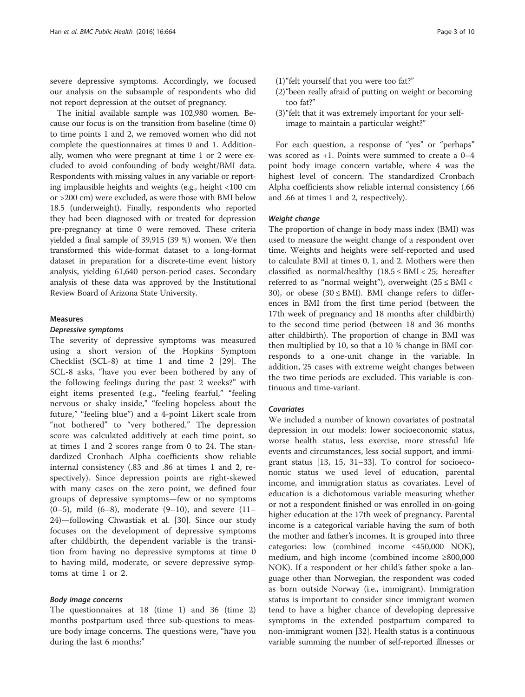severe depressive symptoms. Accordingly, we focused our analysis on the subsample of respondents who did not report depression at the outset of pregnancy.

The initial available sample was 102,980 women. Because our focus is on the transition from baseline (time 0) to time points 1 and 2, we removed women who did not complete the questionnaires at times 0 and 1. Additionally, women who were pregnant at time 1 or 2 were excluded to avoid confounding of body weight/BMI data. Respondents with missing values in any variable or reporting implausible heights and weights (e.g., height <100 cm or >200 cm) were excluded, as were those with BMI below 18.5 (underweight). Finally, respondents who reported they had been diagnosed with or treated for depression pre-pregnancy at time 0 were removed. These criteria yielded a final sample of 39,915 (39 %) women. We then transformed this wide-format dataset to a long-format dataset in preparation for a discrete-time event history analysis, yielding 61,640 person-period cases. Secondary analysis of these data was approved by the Institutional Review Board of Arizona State University.

#### Measures

#### Depressive symptoms

The severity of depressive symptoms was measured using a short version of the Hopkins Symptom Checklist (SCL-8) at time 1 and time 2 [\[29](#page-9-0)]. The SCL-8 asks, "have you ever been bothered by any of the following feelings during the past 2 weeks?" with eight items presented (e.g., "feeling fearful," "feeling nervous or shaky inside," "feeling hopeless about the future," "feeling blue") and a 4-point Likert scale from "not bothered" to "very bothered." The depression score was calculated additively at each time point, so at times 1 and 2 scores range from 0 to 24. The standardized Cronbach Alpha coefficients show reliable internal consistency (.83 and .86 at times 1 and 2, respectively). Since depression points are right-skewed with many cases on the zero point, we defined four groups of depressive symptoms—few or no symptoms (0–5), mild (6–8), moderate (9–10), and severe  $(11-$ 24)—following Chwastiak et al. [[30](#page-9-0)]. Since our study focuses on the development of depressive symptoms after childbirth, the dependent variable is the transition from having no depressive symptoms at time 0 to having mild, moderate, or severe depressive symptoms at time 1 or 2.

# Body image concerns

The questionnaires at 18 (time 1) and 36 (time 2) months postpartum used three sub-questions to measure body image concerns. The questions were, "have you during the last 6 months:"

- (1)"felt yourself that you were too fat?"
- (2)"been really afraid of putting on weight or becoming too fat?"
- (3)"felt that it was extremely important for your selfimage to maintain a particular weight?"

For each question, a response of "yes" or "perhaps" was scored as +1. Points were summed to create a 0–4 point body image concern variable, where 4 was the highest level of concern. The standardized Cronbach Alpha coefficients show reliable internal consistency (.66 and .66 at times 1 and 2, respectively).

#### Weight change

The proportion of change in body mass index (BMI) was used to measure the weight change of a respondent over time. Weights and heights were self-reported and used to calculate BMI at times 0, 1, and 2. Mothers were then classified as normal/healthy  $(18.5 \leq BMI < 25$ ; hereafter referred to as "normal weight"), overweight  $(25 \leq BMI \leq$ 30), or obese (30  $\leq$  BMI). BMI change refers to differences in BMI from the first time period (between the 17th week of pregnancy and 18 months after childbirth) to the second time period (between 18 and 36 months after childbirth). The proportion of change in BMI was then multiplied by 10, so that a 10 % change in BMI corresponds to a one-unit change in the variable. In addition, 25 cases with extreme weight changes between the two time periods are excluded. This variable is continuous and time-variant.

## Covariates

We included a number of known covariates of postnatal depression in our models: lower socioeconomic status, worse health status, less exercise, more stressful life events and circumstances, less social support, and immigrant status [[13, 15, 31](#page-9-0)–[33](#page-9-0)]. To control for socioeconomic status we used level of education, parental income, and immigration status as covariates. Level of education is a dichotomous variable measuring whether or not a respondent finished or was enrolled in on-going higher education at the 17th week of pregnancy. Parental income is a categorical variable having the sum of both the mother and father's incomes. It is grouped into three categories: low (combined income ≤450,000 NOK), medium, and high income (combined income ≥800,000 NOK). If a respondent or her child's father spoke a language other than Norwegian, the respondent was coded as born outside Norway (i.e., immigrant). Immigration status is important to consider since immigrant women tend to have a higher chance of developing depressive symptoms in the extended postpartum compared to non-immigrant women [\[32](#page-9-0)]. Health status is a continuous variable summing the number of self-reported illnesses or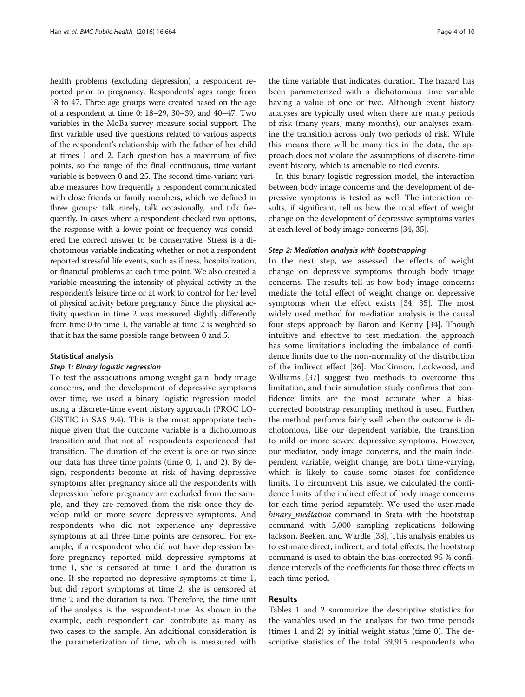health problems (excluding depression) a respondent reported prior to pregnancy. Respondents' ages range from 18 to 47. Three age groups were created based on the age of a respondent at time 0: 18–29, 30–39, and 40–47. Two variables in the MoBa survey measure social support. The first variable used five questions related to various aspects of the respondent's relationship with the father of her child at times 1 and 2. Each question has a maximum of five points, so the range of the final continuous, time-variant variable is between 0 and 25. The second time-variant variable measures how frequently a respondent communicated with close friends or family members, which we defined in three groups: talk rarely, talk occasionally, and talk frequently. In cases where a respondent checked two options, the response with a lower point or frequency was considered the correct answer to be conservative. Stress is a dichotomous variable indicating whether or not a respondent reported stressful life events, such as illness, hospitalization, or financial problems at each time point. We also created a variable measuring the intensity of physical activity in the respondent's leisure time or at work to control for her level of physical activity before pregnancy. Since the physical activity question in time 2 was measured slightly differently from time 0 to time 1, the variable at time 2 is weighted so that it has the same possible range between 0 and 5.

#### Statistical analysis

#### Step 1: Binary logistic regression

To test the associations among weight gain, body image concerns, and the development of depressive symptoms over time, we used a binary logistic regression model using a discrete-time event history approach (PROC LO-GISTIC in SAS 9.4). This is the most appropriate technique given that the outcome variable is a dichotomous transition and that not all respondents experienced that transition. The duration of the event is one or two since our data has three time points (time 0, 1, and 2). By design, respondents become at risk of having depressive symptoms after pregnancy since all the respondents with depression before pregnancy are excluded from the sample, and they are removed from the risk once they develop mild or more severe depressive symptoms. And respondents who did not experience any depressive symptoms at all three time points are censored. For example, if a respondent who did not have depression before pregnancy reported mild depressive symptoms at time 1, she is censored at time 1 and the duration is one. If she reported no depressive symptoms at time 1, but did report symptoms at time 2, she is censored at time 2 and the duration is two. Therefore, the time unit of the analysis is the respondent-time. As shown in the example, each respondent can contribute as many as two cases to the sample. An additional consideration is the parameterization of time, which is measured with

the time variable that indicates duration. The hazard has been parameterized with a dichotomous time variable having a value of one or two. Although event history analyses are typically used when there are many periods of risk (many years, many months), our analyses examine the transition across only two periods of risk. While this means there will be many ties in the data, the approach does not violate the assumptions of discrete-time event history, which is amenable to tied events.

In this binary logistic regression model, the interaction between body image concerns and the development of depressive symptoms is tested as well. The interaction results, if significant, tell us how the total effect of weight change on the development of depressive symptoms varies at each level of body image concerns [\[34, 35](#page-9-0)].

#### Step 2: Mediation analysis with bootstrapping

In the next step, we assessed the effects of weight change on depressive symptoms through body image concerns. The results tell us how body image concerns mediate the total effect of weight change on depressive symptoms when the effect exists [[34, 35](#page-9-0)]. The most widely used method for mediation analysis is the causal four steps approach by Baron and Kenny [\[34\]](#page-9-0). Though intuitive and effective to test mediation, the approach has some limitations including the imbalance of confidence limits due to the non-normality of the distribution of the indirect effect [\[36\]](#page-9-0). MacKinnon, Lockwood, and Williams [[37\]](#page-9-0) suggest two methods to overcome this limitation, and their simulation study confirms that confidence limits are the most accurate when a biascorrected bootstrap resampling method is used. Further, the method performs fairly well when the outcome is dichotomous, like our dependent variable, the transition to mild or more severe depressive symptoms. However, our mediator, body image concerns, and the main independent variable, weight change, are both time-varying, which is likely to cause some biases for confidence limits. To circumvent this issue, we calculated the confidence limits of the indirect effect of body image concerns for each time period separately. We used the user-made binary\_mediation command in Stata with the bootstrap command with 5,000 sampling replications following Jackson, Beeken, and Wardle [\[38\]](#page-9-0). This analysis enables us to estimate direct, indirect, and total effects; the bootstrap command is used to obtain the bias-corrected 95 % confidence intervals of the coefficients for those three effects in each time period.

# Results

Tables [1](#page-4-0) and [2](#page-5-0) summarize the descriptive statistics for the variables used in the analysis for two time periods (times 1 and 2) by initial weight status (time 0). The descriptive statistics of the total 39,915 respondents who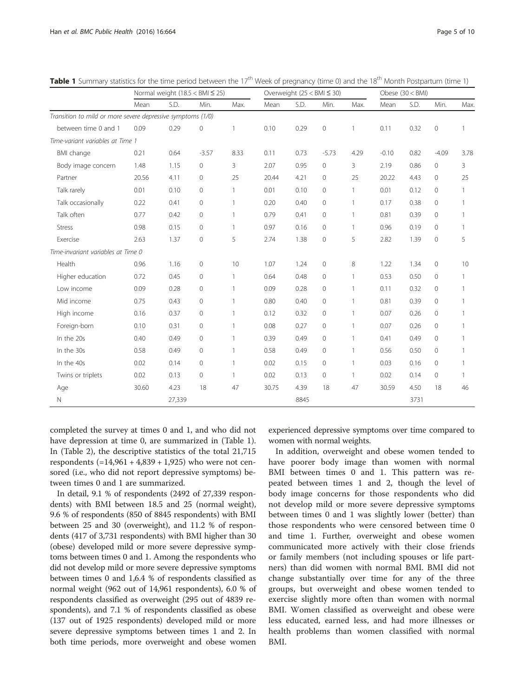|                                                             | Normal weight $(18.5 < BMI \le 25)$ |        |              |              | Overweight $(25 < BMI \leq 30)$ |      |                     |              | Obese $(30 < BMI)$ |      |             |              |
|-------------------------------------------------------------|-------------------------------------|--------|--------------|--------------|---------------------------------|------|---------------------|--------------|--------------------|------|-------------|--------------|
|                                                             | Mean                                | S.D.   | Min.         | Max.         | Mean                            | S.D. | Min.                | Max.         | Mean               | S.D. | Min.        | Max.         |
| Transition to mild or more severe depressive symptoms (1/0) |                                     |        |              |              |                                 |      |                     |              |                    |      |             |              |
| between time 0 and 1                                        | 0.09                                | 0.29   | 0            | $\mathbf{1}$ | 0.10                            | 0.29 | $\mathbb O$         | 1            | 0.11               | 0.32 | $\circ$     | 1            |
| Time-variant variables at Time 1                            |                                     |        |              |              |                                 |      |                     |              |                    |      |             |              |
| <b>BMI</b> change                                           | 0.21                                | 0.64   | $-3.57$      | 8.33         | 0.11                            | 0.73 | $-5.73$             | 4.29         | $-0.10$            | 0.82 | $-4.09$     | 3.78         |
| Body image concern                                          | 1.48                                | 1.15   | $\mathbf 0$  | 3            | 2.07                            | 0.95 | $\mathbf 0$         | 3            | 2.19               | 0.86 | 0           | 3            |
| Partner                                                     | 20.56                               | 4.11   | $\circ$      | 25           | 20.44                           | 4.21 | 0                   | 25           | 20.22              | 4.43 | 0           | 25           |
| Talk rarely                                                 | 0.01                                | 0.10   | $\mathbf{0}$ | $\mathbf{1}$ | 0.01                            | 0.10 | $\mathbf 0$         | 1            | 0.01               | 0.12 | 0           | 1            |
| Talk occasionally                                           | 0.22                                | 0.41   | $\mathbf{0}$ | $\mathbf{1}$ | 0.20                            | 0.40 | 0                   | 1            | 0.17               | 0.38 | $\circ$     | 1            |
| Talk often                                                  | 0.77                                | 0.42   | $\mathbf 0$  | $\mathbf{1}$ | 0.79                            | 0.41 | $\mathbf 0$         | 1            | 0.81               | 0.39 | 0           | 1            |
| <b>Stress</b>                                               | 0.98                                | 0.15   | $\circ$      | $\mathbf{1}$ | 0.97                            | 0.16 | $\mathbf 0$         | $\mathbf{1}$ | 0.96               | 0.19 | 0           | 1            |
| Exercise                                                    | 2.63                                | 1.37   | $\mathbf 0$  | 5            | 2.74                            | 1.38 | $\mathsf{O}\xspace$ | 5            | 2.82               | 1.39 | $\mathbf 0$ | 5            |
| Time-invariant variables at Time 0                          |                                     |        |              |              |                                 |      |                     |              |                    |      |             |              |
| Health                                                      | 0.96                                | 1.16   | $\mathbf{0}$ | 10           | 1.07                            | 1.24 | $\circ$             | 8            | 1.22               | 1.34 | $\circ$     | 10           |
| Higher education                                            | 0.72                                | 0.45   | $\mathbf{0}$ | $\mathbf{1}$ | 0.64                            | 0.48 | $\mathbf 0$         | 1            | 0.53               | 0.50 | $\circ$     | 1            |
| Low income                                                  | 0.09                                | 0.28   | $\mathbf{0}$ | $\mathbf{1}$ | 0.09                            | 0.28 | 0                   |              | 0.11               | 0.32 | 0           | 1            |
| Mid income                                                  | 0.75                                | 0.43   | $\mathbf 0$  | $\mathbf{1}$ | 0.80                            | 0.40 | $\mathbf 0$         | $\mathbf{1}$ | 0.81               | 0.39 | 0           | 1            |
| High income                                                 | 0.16                                | 0.37   | $\mathbb O$  | $\mathbf{1}$ | 0.12                            | 0.32 | $\mathbf 0$         | 1            | 0.07               | 0.26 | 0           | $\mathbf{1}$ |
| Foreign-born                                                | 0.10                                | 0.31   | $\mathbf 0$  | $\mathbf{1}$ | 0.08                            | 0.27 | $\mathbf 0$         | 1            | 0.07               | 0.26 | 0           | 1            |
| In the 20s                                                  | 0.40                                | 0.49   | $\mathbf{0}$ | $\mathbf{1}$ | 0.39                            | 0.49 | $\circ$             | 1            | 0.41               | 0.49 | $\circ$     | 1            |
| In the 30s                                                  | 0.58                                | 0.49   | $\mathbf{0}$ | $\mathbf{1}$ | 0.58                            | 0.49 | $\mathbf 0$         |              | 0.56               | 0.50 | $\circ$     | $\mathbf{1}$ |
| In the 40s                                                  | 0.02                                | 0.14   | $\mathbf{0}$ | $\mathbf{1}$ | 0.02                            | 0.15 | $\mathbf{0}$        | 1            | 0.03               | 0.16 | $\circ$     | 1            |
| Twins or triplets                                           | 0.02                                | 0.13   | $\mathbf{0}$ | $\mathbf{1}$ | 0.02                            | 0.13 | $\mathbf 0$         | 1            | 0.02               | 0.14 | 0           |              |
| Age                                                         | 30.60                               | 4.23   | 18           | 47           | 30.75                           | 4.39 | 18                  | 47           | 30.59              | 4.50 | 18          | 46           |
| N                                                           |                                     | 27,339 |              |              |                                 | 8845 |                     |              |                    | 3731 |             |              |

<span id="page-4-0"></span>**Table 1** Summary statistics for the time period between the  $17<sup>th</sup>$  Week of pregnancy (time 0) and the  $18<sup>th</sup>$  Month Postpartum (time 1)

completed the survey at times 0 and 1, and who did not have depression at time 0, are summarized in (Table 1). In (Table [2\)](#page-5-0), the descriptive statistics of the total 21,715 respondents  $(=14,961 + 4,839 + 1,925)$  who were not censored (i.e., who did not report depressive symptoms) between times 0 and 1 are summarized.

In detail, 9.1 % of respondents (2492 of 27,339 respondents) with BMI between 18.5 and 25 (normal weight), 9.6 % of respondents (850 of 8845 respondents) with BMI between 25 and 30 (overweight), and 11.2 % of respondents (417 of 3,731 respondents) with BMI higher than 30 (obese) developed mild or more severe depressive symptoms between times 0 and 1. Among the respondents who did not develop mild or more severe depressive symptoms between times 0 and 1,6.4 % of respondents classified as normal weight (962 out of 14,961 respondents), 6.0 % of respondents classified as overweight (295 out of 4839 respondents), and 7.1 % of respondents classified as obese (137 out of 1925 respondents) developed mild or more severe depressive symptoms between times 1 and 2. In both time periods, more overweight and obese women

experienced depressive symptoms over time compared to women with normal weights.

In addition, overweight and obese women tended to have poorer body image than women with normal BMI between times 0 and 1. This pattern was repeated between times 1 and 2, though the level of body image concerns for those respondents who did not develop mild or more severe depressive symptoms between times 0 and 1 was slightly lower (better) than those respondents who were censored between time 0 and time 1. Further, overweight and obese women communicated more actively with their close friends or family members (not including spouses or life partners) than did women with normal BMI. BMI did not change substantially over time for any of the three groups, but overweight and obese women tended to exercise slightly more often than women with normal BMI. Women classified as overweight and obese were less educated, earned less, and had more illnesses or health problems than women classified with normal BMI.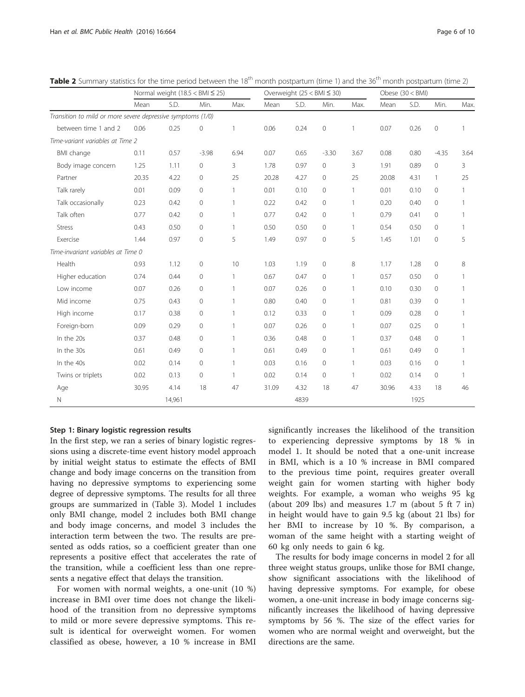|                                                             | Normal weight $(18.5 < BMI \le 25)$ |        |              | Overweight $(25 < BM \leq 30)$ |       |      |              | Obese $(30 < BMI)$ |       |      |                |              |
|-------------------------------------------------------------|-------------------------------------|--------|--------------|--------------------------------|-------|------|--------------|--------------------|-------|------|----------------|--------------|
|                                                             | Mean                                | S.D.   | Min.         | Max.                           | Mean  | S.D. | Min.         | Max.               | Mean  | S.D. | Min.           | Max.         |
| Transition to mild or more severe depressive symptoms (1/0) |                                     |        |              |                                |       |      |              |                    |       |      |                |              |
| between time 1 and 2                                        | 0.06                                | 0.25   | 0            | 1                              | 0.06  | 0.24 | $\mathbb O$  | $\mathbf{1}$       | 0.07  | 0.26 | $\circ$        | 1            |
| Time-variant variables at Time 2                            |                                     |        |              |                                |       |      |              |                    |       |      |                |              |
| BMI change                                                  | 0.11                                | 0.57   | $-3.98$      | 6.94                           | 0.07  | 0.65 | $-3.30$      | 3.67               | 0.08  | 0.80 | $-4.35$        | 3.64         |
| Body image concern                                          | 1.25                                | 1.11   | $\mathbf{0}$ | 3                              | 1.78  | 0.97 | $\mathbf{0}$ | 3                  | 1.91  | 0.89 | 0              | 3            |
| Partner                                                     | 20.35                               | 4.22   | $\mathbf 0$  | 25                             | 20.28 | 4.27 | $\circ$      | 25                 | 20.08 | 4.31 | $\mathbf{1}$   | 25           |
| Talk rarely                                                 | 0.01                                | 0.09   | $\mathbf{0}$ | 1                              | 0.01  | 0.10 | $\mathbf{0}$ | $\mathbf{1}$       | 0.01  | 0.10 | $\circ$        | 1            |
| Talk occasionally                                           | 0.23                                | 0.42   | 0            | 1                              | 0.22  | 0.42 | $\circ$      | $\mathbf{1}$       | 0.20  | 0.40 | 0              | 1            |
| Talk often                                                  | 0.77                                | 0.42   | $\mathbf{0}$ | 1                              | 0.77  | 0.42 | $\mathbf{0}$ | $\mathbf{1}$       | 0.79  | 0.41 | $\circ$        | 1            |
| <b>Stress</b>                                               | 0.43                                | 0.50   | $\mathbf{0}$ | $\mathbf{1}$                   | 0.50  | 0.50 | $\circ$      | $\mathbf{1}$       | 0.54  | 0.50 | 0              | $\mathbf{1}$ |
| Exercise                                                    | 1.44                                | 0.97   | $\mathbf 0$  | 5                              | 1.49  | 0.97 | $\circ$      | 5                  | 1.45  | 1.01 | $\mathbf 0$    | 5            |
| Time-invariant variables at Time 0                          |                                     |        |              |                                |       |      |              |                    |       |      |                |              |
| Health                                                      | 0.93                                | 1.12   | 0            | 10                             | 1.03  | 1.19 | $\mathbf{0}$ | 8                  | 1.17  | 1.28 | 0              | 8            |
| Higher education                                            | 0.74                                | 0.44   | $\mathbf{0}$ | $\mathbf{1}$                   | 0.67  | 0.47 | $\circ$      | $\mathbf{1}$       | 0.57  | 0.50 | 0              | 1            |
| Low income                                                  | 0.07                                | 0.26   | $\mathbf{0}$ | 1                              | 0.07  | 0.26 | $\mathbf{0}$ | $\mathbf{1}$       | 0.10  | 0.30 | $\circ$        | 1            |
| Mid income                                                  | 0.75                                | 0.43   | 0            | 1                              | 0.80  | 0.40 | $\circ$      | $\mathbf{1}$       | 0.81  | 0.39 | 0              | 1            |
| High income                                                 | 0.17                                | 0.38   | $\mathbf{0}$ | 1                              | 0.12  | 0.33 | $\mathbf{0}$ | $\mathbf{1}$       | 0.09  | 0.28 | $\circ$        | $\mathbf{1}$ |
| Foreign-born                                                | 0.09                                | 0.29   | $\mathbf{0}$ |                                | 0.07  | 0.26 | $\mathbf{0}$ | $\mathbf{1}$       | 0.07  | 0.25 | 0              | 1            |
| In the 20s                                                  | 0.37                                | 0.48   | $\mathbf{0}$ |                                | 0.36  | 0.48 | $\mathbf{0}$ | $\mathbf{1}$       | 0.37  | 0.48 | $\circ$        | 1            |
| In the 30s                                                  | 0.61                                | 0.49   | 0            | 1                              | 0.61  | 0.49 | $\mathbf{0}$ | $\mathbf{1}$       | 0.61  | 0.49 | $\overline{0}$ | 1            |
| In the 40s                                                  | 0.02                                | 0.14   | $\mathbf 0$  | $\mathbf{1}$                   | 0.03  | 0.16 | $\circ$      | $\mathbf{1}$       | 0.03  | 0.16 | 0              | 1            |
| Twins or triplets                                           | 0.02                                | 0.13   | $\circ$      | $\mathbf{1}$                   | 0.02  | 0.14 | $\mathbf{0}$ | $\mathbf{1}$       | 0.02  | 0.14 | 0              | 1            |
| Age                                                         | 30.95                               | 4.14   | 18           | 47                             | 31.09 | 4.32 | 18           | 47                 | 30.96 | 4.33 | 18             | 46           |
| Ν                                                           |                                     | 14,961 |              |                                |       | 4839 |              |                    |       | 1925 |                |              |

<span id="page-5-0"></span>Table 2 Summary statistics for the time period between the 18<sup>th</sup> month postpartum (time 1) and the 36<sup>th</sup> month postpartum (time 2)

## Step 1: Binary logistic regression results

In the first step, we ran a series of binary logistic regressions using a discrete-time event history model approach by initial weight status to estimate the effects of BMI change and body image concerns on the transition from having no depressive symptoms to experiencing some degree of depressive symptoms. The results for all three groups are summarized in (Table [3](#page-6-0)). Model 1 includes only BMI change, model 2 includes both BMI change and body image concerns, and model 3 includes the interaction term between the two. The results are presented as odds ratios, so a coefficient greater than one represents a positive effect that accelerates the rate of the transition, while a coefficient less than one represents a negative effect that delays the transition.

For women with normal weights, a one-unit (10 %) increase in BMI over time does not change the likelihood of the transition from no depressive symptoms to mild or more severe depressive symptoms. This result is identical for overweight women. For women classified as obese, however, a 10 % increase in BMI significantly increases the likelihood of the transition to experiencing depressive symptoms by 18 % in model 1. It should be noted that a one-unit increase in BMI, which is a 10 % increase in BMI compared to the previous time point, requires greater overall weight gain for women starting with higher body weights. For example, a woman who weighs 95 kg (about 209 lbs) and measures 1.7 m (about 5 ft 7 in) in height would have to gain 9.5 kg (about 21 lbs) for her BMI to increase by 10 %. By comparison, a woman of the same height with a starting weight of 60 kg only needs to gain 6 kg.

The results for body image concerns in model 2 for all three weight status groups, unlike those for BMI change, show significant associations with the likelihood of having depressive symptoms. For example, for obese women, a one-unit increase in body image concerns significantly increases the likelihood of having depressive symptoms by 56 %. The size of the effect varies for women who are normal weight and overweight, but the directions are the same.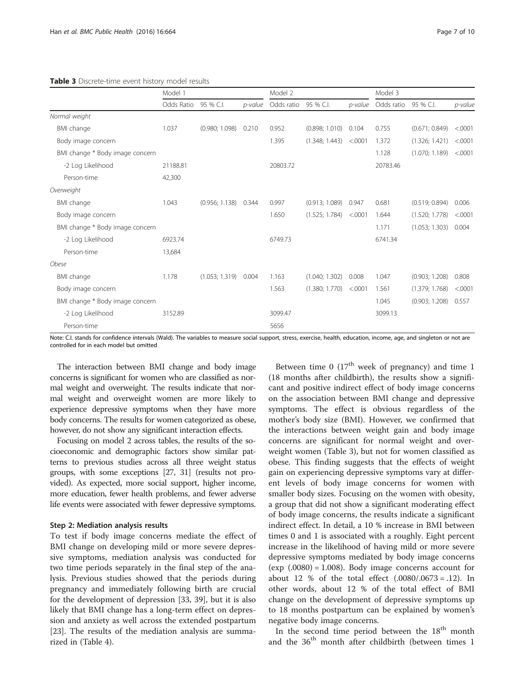<span id="page-6-0"></span>

|  | Table 3 Discrete-time event history model results |  |  |  |
|--|---------------------------------------------------|--|--|--|
|--|---------------------------------------------------|--|--|--|

|                                 | Model 1    |                        |         | Model 2    |                |         | Model 3    |                |          |
|---------------------------------|------------|------------------------|---------|------------|----------------|---------|------------|----------------|----------|
|                                 | Odds Ratio | 95 % C.I.              | p-value | Odds ratio | 95 % C.I.      | p-value | Odds ratio | 95 % C.I.      | p-value  |
| Normal weight                   |            |                        |         |            |                |         |            |                |          |
| <b>BMI</b> change               | 1.037      | (0.980; 1.098)         | 0.210   | 0.952      | (0.898; 1.010) | 0.104   | 0.755      | (0.671; 0.849) | < .0001  |
| Body image concern              |            |                        |         | 1.395      | (1.348; 1.443) | < .0001 | 1.372      | (1.326; 1.421) | < .0001  |
| BMI change * Body image concern |            |                        |         |            |                |         | 1.128      | (1.070; 1.189) | < .0001  |
| -2 Log Likelihood               | 21188.81   |                        |         | 20803.72   |                |         | 20783.46   |                |          |
| Person-time                     | 42,300     |                        |         |            |                |         |            |                |          |
| Overweight                      |            |                        |         |            |                |         |            |                |          |
| BMI change                      | 1.043      | $(0.956; 1.138)$ 0.344 |         | 0.997      | (0.913; 1.089) | 0.947   | 0.681      | (0.519; 0.894) | 0.006    |
| Body image concern              |            |                        |         | 1.650      | (1.525; 1.784) | < 0001  | 1.644      | (1.520; 1.778) | < 0.0001 |
| BMI change * Body image concern |            |                        |         |            |                |         | 1.171      | (1.053; 1.303) | 0.004    |
| -2 Log Likelihood               | 6923.74    |                        |         | 6749.73    |                |         | 6741.34    |                |          |
| Person-time                     | 13,684     |                        |         |            |                |         |            |                |          |
| Obese                           |            |                        |         |            |                |         |            |                |          |
| BMI change                      | 1.178      | $(1.053; 1.319)$ 0.004 |         | 1.163      | (1.040; 1.302) | 0.008   | 1.047      | (0.903; 1.208) | 0.808    |
| Body image concern              |            |                        |         | 1.563      | (1.380; 1.770) | < .0001 | 1.561      | (1.379; 1.768) | < 0.0001 |
| BMI change * Body image concern |            |                        |         |            |                |         | 1.045      | (0.903; 1.208) | 0.557    |
| -2 Log Likelihood               | 3152.89    |                        |         | 3099.47    |                |         | 3099.13    |                |          |
| Person-time                     |            |                        |         | 5656       |                |         |            |                |          |

Note: C.I. stands for confidence intervals (Wald). The variables to measure social support, stress, exercise, health, education, income, age, and singleton or not are controlled for in each model but omitted

The interaction between BMI change and body image concerns is significant for women who are classified as normal weight and overweight. The results indicate that normal weight and overweight women are more likely to experience depressive symptoms when they have more body concerns. The results for women categorized as obese, however, do not show any significant interaction effects.

Focusing on model 2 across tables, the results of the socioeconomic and demographic factors show similar patterns to previous studies across all three weight status groups, with some exceptions [[27](#page-9-0), [31\]](#page-9-0) (results not provided). As expected, more social support, higher income, more education, fewer health problems, and fewer adverse life events were associated with fewer depressive symptoms.

#### Step 2: Mediation analysis results

To test if body image concerns mediate the effect of BMI change on developing mild or more severe depressive symptoms, mediation analysis was conducted for two time periods separately in the final step of the analysis. Previous studies showed that the periods during pregnancy and immediately following birth are crucial for the development of depression [\[33](#page-9-0), [39](#page-9-0)], but it is also likely that BMI change has a long-term effect on depression and anxiety as well across the extended postpartum [[23\]](#page-9-0). The results of the mediation analysis are summarized in (Table [4\)](#page-7-0).

Between time 0  $(17<sup>th</sup>$  week of pregnancy) and time 1 (18 months after childbirth), the results show a significant and positive indirect effect of body image concerns on the association between BMI change and depressive symptoms. The effect is obvious regardless of the mother's body size (BMI). However, we confirmed that the interactions between weight gain and body image concerns are significant for normal weight and overweight women (Table 3), but not for women classified as obese. This finding suggests that the effects of weight gain on experiencing depressive symptoms vary at different levels of body image concerns for women with smaller body sizes. Focusing on the women with obesity, a group that did not show a significant moderating effect of body image concerns, the results indicate a significant indirect effect. In detail, a 10 % increase in BMI between times 0 and 1 is associated with a roughly. Eight percent increase in the likelihood of having mild or more severe depressive symptoms mediated by body image concerns  $(exp (.0080) = 1.008)$ . Body image concerns account for about 12 % of the total effect  $(.0080/.0673 = .12)$ . In other words, about 12 % of the total effect of BMI change on the development of depressive symptoms up to 18 months postpartum can be explained by women's negative body image concerns.

In the second time period between the  $18<sup>th</sup>$  month and the  $36<sup>th</sup>$  month after childbirth (between times 1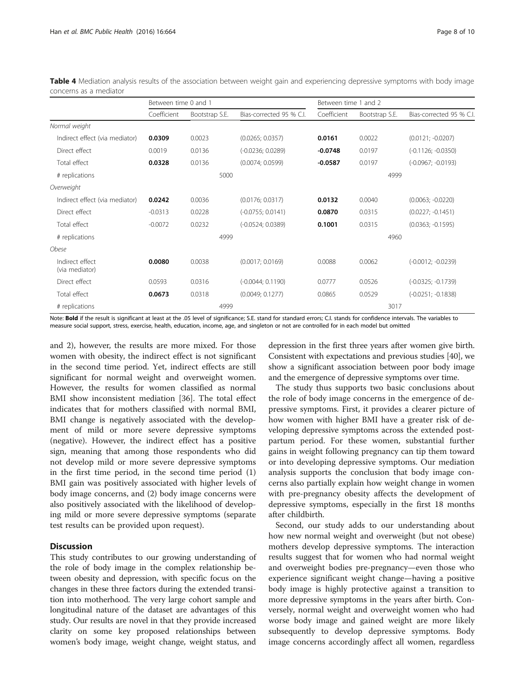|                                   | Between time 0 and 1 |                |                          | Between time 1 and 2 |                |                          |  |
|-----------------------------------|----------------------|----------------|--------------------------|----------------------|----------------|--------------------------|--|
|                                   | Coefficient          | Bootstrap S.E. | Bias-corrected 95 % C.I. | Coefficient          | Bootstrap S.E. | Bias-corrected 95 % C.I. |  |
| Normal weight                     |                      |                |                          |                      |                |                          |  |
| Indirect effect (via mediator)    | 0.0309               | 0.0023         | (0.0265; 0.0357)         | 0.0161               | 0.0022         | $(0.0121; -0.0207)$      |  |
| Direct effect                     | 0.0019               | 0.0136         | $(-0.0236; 0.0289)$      | $-0.0748$            | 0.0197         | $(-0.1126; -0.0350)$     |  |
| Total effect                      | 0.0328               | 0.0136         | (0.0074; 0.0599)         | $-0.0587$            | 0.0197         | $(-0.0967; -0.0193)$     |  |
| # replications                    |                      | 5000           |                          |                      | 4999           |                          |  |
| Overweight                        |                      |                |                          |                      |                |                          |  |
| Indirect effect (via mediator)    | 0.0242               | 0.0036         | (0.0176; 0.0317)         | 0.0132               | 0.0040         | $(0.0063; -0.0220)$      |  |
| Direct effect                     | $-0.0313$            | 0.0228         | $(-0.0755; 0.0141)$      | 0.0870               | 0.0315         | $(0.0227; -0.1451)$      |  |
| Total effect                      | $-0.0072$            | 0.0232         | $(-0.0524; 0.0389)$      | 0.1001               | 0.0315         | $(0.0363; -0.1595)$      |  |
| # replications                    |                      | 4999           |                          |                      | 4960           |                          |  |
| Obese                             |                      |                |                          |                      |                |                          |  |
| Indirect effect<br>(via mediator) | 0.0080               | 0.0038         | (0.0017; 0.0169)         | 0.0088               | 0.0062         | $(-0.0012; -0.0239)$     |  |
| Direct effect                     | 0.0593               | 0.0316         | $(-0.0044; 0.1190)$      | 0.0777               | 0.0526         | $(-0.0325; -0.1739)$     |  |
| Total effect                      | 0.0673               | 0.0318         | (0.0049; 0.1277)         | 0.0865               | 0.0529         | $(-0.0251; -0.1838)$     |  |
| # replications                    |                      | 4999           |                          |                      | 3017           |                          |  |

<span id="page-7-0"></span>Table 4 Mediation analysis results of the association between weight gain and experiencing depressive symptoms with body image concerns as a mediator

Note: Bold if the result is significant at least at the .05 level of significance; S.E. stand for standard errors; C.I. stands for confidence intervals. The variables to measure social support, stress, exercise, health, education, income, age, and singleton or not are controlled for in each model but omitted

and 2), however, the results are more mixed. For those women with obesity, the indirect effect is not significant in the second time period. Yet, indirect effects are still significant for normal weight and overweight women. However, the results for women classified as normal BMI show inconsistent mediation [\[36\]](#page-9-0). The total effect indicates that for mothers classified with normal BMI, BMI change is negatively associated with the development of mild or more severe depressive symptoms (negative). However, the indirect effect has a positive sign, meaning that among those respondents who did not develop mild or more severe depressive symptoms in the first time period, in the second time period (1) BMI gain was positively associated with higher levels of body image concerns, and (2) body image concerns were also positively associated with the likelihood of developing mild or more severe depressive symptoms (separate test results can be provided upon request).

# **Discussion**

This study contributes to our growing understanding of the role of body image in the complex relationship between obesity and depression, with specific focus on the changes in these three factors during the extended transition into motherhood. The very large cohort sample and longitudinal nature of the dataset are advantages of this study. Our results are novel in that they provide increased clarity on some key proposed relationships between women's body image, weight change, weight status, and depression in the first three years after women give birth. Consistent with expectations and previous studies [\[40\]](#page-9-0), we show a significant association between poor body image and the emergence of depressive symptoms over time.

The study thus supports two basic conclusions about the role of body image concerns in the emergence of depressive symptoms. First, it provides a clearer picture of how women with higher BMI have a greater risk of developing depressive symptoms across the extended postpartum period. For these women, substantial further gains in weight following pregnancy can tip them toward or into developing depressive symptoms. Our mediation analysis supports the conclusion that body image concerns also partially explain how weight change in women with pre-pregnancy obesity affects the development of depressive symptoms, especially in the first 18 months after childbirth.

Second, our study adds to our understanding about how new normal weight and overweight (but not obese) mothers develop depressive symptoms. The interaction results suggest that for women who had normal weight and overweight bodies pre-pregnancy—even those who experience significant weight change—having a positive body image is highly protective against a transition to more depressive symptoms in the years after birth. Conversely, normal weight and overweight women who had worse body image and gained weight are more likely subsequently to develop depressive symptoms. Body image concerns accordingly affect all women, regardless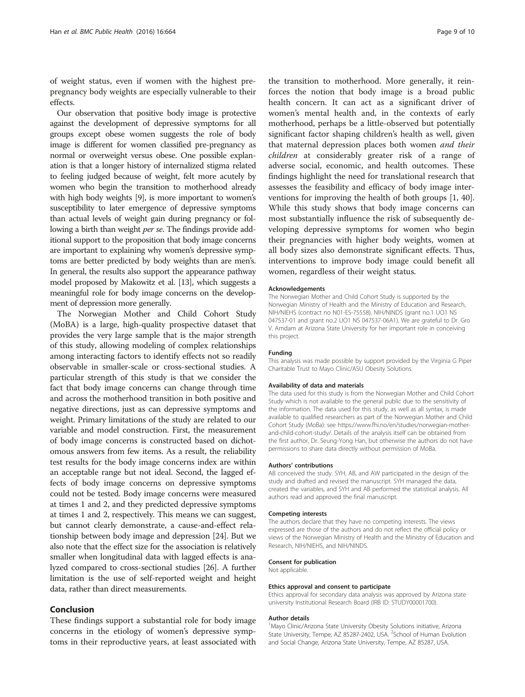of weight status, even if women with the highest prepregnancy body weights are especially vulnerable to their effects.

Our observation that positive body image is protective against the development of depressive symptoms for all groups except obese women suggests the role of body image is different for women classified pre-pregnancy as normal or overweight versus obese. One possible explanation is that a longer history of internalized stigma related to feeling judged because of weight, felt more acutely by women who begin the transition to motherhood already with high body weights [\[9\]](#page-9-0), is more important to women's susceptibility to later emergence of depressive symptoms than actual levels of weight gain during pregnancy or following a birth than weight *per se*. The findings provide additional support to the proposition that body image concerns are important to explaining why women's depressive symptoms are better predicted by body weights than are men's. In general, the results also support the appearance pathway model proposed by Makowitz et al. [\[13\]](#page-9-0), which suggests a meaningful role for body image concerns on the development of depression more generally.

The Norwegian Mother and Child Cohort Study (MoBA) is a large, high-quality prospective dataset that provides the very large sample that is the major strength of this study, allowing modeling of complex relationships among interacting factors to identify effects not so readily observable in smaller-scale or cross-sectional studies. A particular strength of this study is that we consider the fact that body image concerns can change through time and across the motherhood transition in both positive and negative directions, just as can depressive symptoms and weight. Primary limitations of the study are related to our variable and model construction. First, the measurement of body image concerns is constructed based on dichotomous answers from few items. As a result, the reliability test results for the body image concerns index are within an acceptable range but not ideal. Second, the lagged effects of body image concerns on depressive symptoms could not be tested. Body image concerns were measured at times 1 and 2, and they predicted depressive symptoms at times 1 and 2, respectively. This means we can suggest, but cannot clearly demonstrate, a cause-and-effect relationship between body image and depression [\[24](#page-9-0)]. But we also note that the effect size for the association is relatively smaller when longitudinal data with lagged effects is analyzed compared to cross-sectional studies [[26](#page-9-0)]. A further limitation is the use of self-reported weight and height data, rather than direct measurements.

# Conclusion

These findings support a substantial role for body image concerns in the etiology of women's depressive symptoms in their reproductive years, at least associated with

the transition to motherhood. More generally, it reinforces the notion that body image is a broad public health concern. It can act as a significant driver of women's mental health and, in the contexts of early motherhood, perhaps be a little-observed but potentially significant factor shaping children's health as well, given that maternal depression places both women and their children at considerably greater risk of a range of adverse social, economic, and health outcomes. These findings highlight the need for translational research that assesses the feasibility and efficacy of body image interventions for improving the health of both groups [\[1](#page-9-0), [40](#page-9-0)]. While this study shows that body image concerns can most substantially influence the risk of subsequently developing depressive symptoms for women who begin their pregnancies with higher body weights, women at all body sizes also demonstrate significant effects. Thus, interventions to improve body image could benefit all women, regardless of their weight status.

#### Acknowledgements

The Norwegian Mother and Child Cohort Study is supported by the Norwegian Ministry of Health and the Ministry of Education and Research, NIH/NIEHS (contract no N01-ES-75558), NIH/NINDS (grant no.1 UO1 NS 047537-01 and grant no.2 UO1 NS 047537-06A1). We are grateful to Dr. Gro V. Amdam at Arizona State University for her important role in conceiving this project.

#### Funding

This analysis was made possible by support provided by the Virginia G Piper Charitable Trust to Mayo Clinic/ASU Obesity Solutions.

#### Availability of data and materials

The data used for this study is from the Norwegian Mother and Child Cohort Study which is not available to the general public due to the sensitivity of the information. The data used for this study, as well as all syntax, is made available to qualified researchers as part of the Norwegian Mother and Child Cohort Study (MoBa): see https://www.fhi.no/en/studies/norwegian-motherand-child-cohort-study/. Details of the analysis itself can be obtained from the first author, Dr. Seung-Yong Han, but otherwise the authors do not have permissions to share data directly without permission of MoBa.

#### Authors' contributions

AB conceived the study. SYH, AB, and AW participated in the design of the study and drafted and revised the manuscript. SYH managed the data, created the variables, and SYH and AB performed the statistical analysis. All authors read and approved the final manuscript.

#### Competing interests

The authors declare that they have no competing interests. The views expressed are those of the authors and do not reflect the official policy or views of the Norwegian Ministry of Health and the Ministry of Education and Research, NIH/NIEHS, and NIH/NINDS.

#### Consent for publication

Not applicable.

#### Ethics approval and consent to participate

Ethics approval for secondary data analysis was approved by Arizona state university Institutional Research Board (IRB ID: STUDY00001700).

#### Author details

<sup>1</sup>Mayo Clinic/Arizona State University Obesity Solutions initiative, Arizona State University, Tempe, AZ 85287-2402, USA. <sup>2</sup>School of Human Evolution and Social Change, Arizona State University, Tempe, AZ 85287, USA.